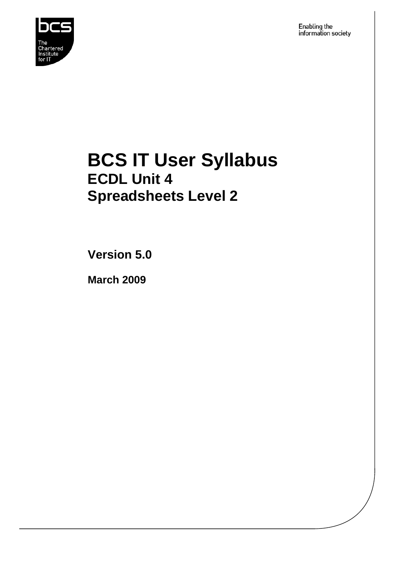

Enabling the<br>information society

## **BCS IT User Syllabus ECDL Unit 4 Spreadsheets Level 2**

**Version 5.0** 

**March 2009**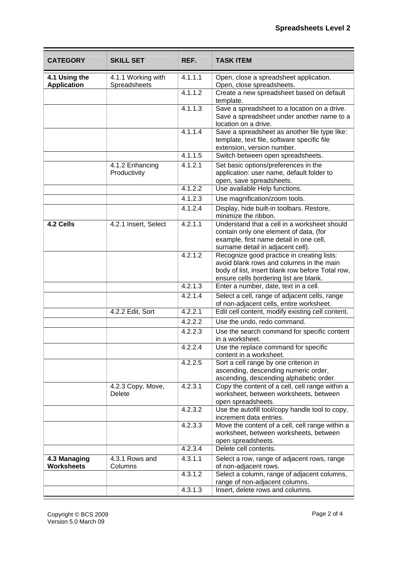| <b>CATEGORY</b>                     | <b>SKILL SET</b>                   | REF.    | <b>TASK ITEM</b>                                                                                                                                                                     |
|-------------------------------------|------------------------------------|---------|--------------------------------------------------------------------------------------------------------------------------------------------------------------------------------------|
| 4.1 Using the<br><b>Application</b> | 4.1.1 Working with<br>Spreadsheets | 4.1.1.1 | Open, close a spreadsheet application.<br>Open, close spreadsheets.                                                                                                                  |
|                                     |                                    | 4.1.1.2 | Create a new spreadsheet based on default<br>template.                                                                                                                               |
|                                     |                                    | 4.1.1.3 | Save a spreadsheet to a location on a drive.<br>Save a spreadsheet under another name to a<br>location on a drive.                                                                   |
|                                     |                                    | 4.1.1.4 | Save a spreadsheet as another file type like:<br>template, text file, software specific file<br>extension, version number.                                                           |
|                                     |                                    | 4.1.1.5 | Switch between open spreadsheets.                                                                                                                                                    |
|                                     | 4.1.2 Enhancing<br>Productivity    | 4.1.2.1 | Set basic options/preferences in the<br>application: user name, default folder to<br>open, save spreadsheets.                                                                        |
|                                     |                                    | 4.1.2.2 | Use available Help functions.                                                                                                                                                        |
|                                     |                                    | 4.1.2.3 | Use magnification/zoom tools.                                                                                                                                                        |
|                                     |                                    | 4.1.2.4 | Display, hide built-in toolbars. Restore,<br>minimize the ribbon.                                                                                                                    |
| 4.2 Cells                           | 4.2.1 Insert, Select               | 4.2.1.1 | Understand that a cell in a worksheet should<br>contain only one element of data, (for<br>example, first name detail in one cell,<br>surname detail in adjacent cell).               |
|                                     |                                    | 4.2.1.2 | Recognize good practice in creating lists:<br>avoid blank rows and columns in the main<br>body of list, insert blank row before Total row,<br>ensure cells bordering list are blank. |
|                                     |                                    | 4.2.1.3 | Enter a number, date, text in a cell.                                                                                                                                                |
|                                     |                                    | 4.2.1.4 | Select a cell, range of adjacent cells, range<br>of non-adjacent cells, entire worksheet.                                                                                            |
|                                     | 4.2.2 Edit, Sort                   | 4.2.2.1 | Edit cell content, modify existing cell content.                                                                                                                                     |
|                                     |                                    | 4.2.2.2 | Use the undo, redo command.                                                                                                                                                          |
|                                     |                                    | 4.2.2.3 | Use the search command for specific content<br>in a worksheet.                                                                                                                       |
|                                     |                                    | 4.2.2.4 | Use the replace command for specific<br>content in a worksheet.                                                                                                                      |
|                                     |                                    | 4.2.2.5 | Sort a cell range by one criterion in<br>ascending, descending numeric order,<br>ascending, descending alphabetic order.                                                             |
|                                     | 4.2.3 Copy, Move,<br>Delete        | 4.2.3.1 | Copy the content of a cell, cell range within a<br>worksheet, between worksheets, between<br>open spreadsheets.                                                                      |
|                                     |                                    | 4.2.3.2 | Use the autofill tool/copy handle tool to copy,<br>increment data entries.                                                                                                           |
|                                     |                                    | 4.2.3.3 | Move the content of a cell, cell range within a<br>worksheet, between worksheets, between<br>open spreadsheets.                                                                      |
|                                     |                                    | 4.2.3.4 | Delete cell contents.                                                                                                                                                                |
| 4.3 Managing<br><b>Worksheets</b>   | 4.3.1 Rows and<br>Columns          | 4.3.1.1 | Select a row, range of adjacent rows, range<br>of non-adjacent rows.                                                                                                                 |
|                                     |                                    | 4.3.1.2 | Select a column, range of adjacent columns,<br>range of non-adjacent columns.                                                                                                        |
|                                     |                                    | 4.3.1.3 | Insert, delete rows and columns.                                                                                                                                                     |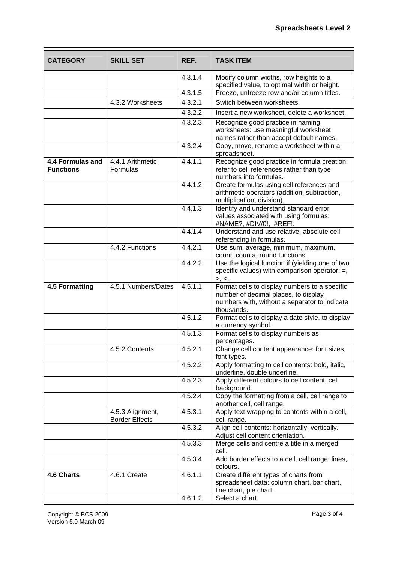| <b>CATEGORY</b>                      | <b>SKILL SET</b>                          | REF.    | <b>TASK ITEM</b>                                                                                                                                     |
|--------------------------------------|-------------------------------------------|---------|------------------------------------------------------------------------------------------------------------------------------------------------------|
|                                      |                                           | 4.3.1.4 | Modify column widths, row heights to a<br>specified value, to optimal width or height.                                                               |
|                                      |                                           | 4.3.1.5 | Freeze, unfreeze row and/or column titles.                                                                                                           |
|                                      | 4.3.2 Worksheets                          | 4.3.2.1 | Switch between worksheets.                                                                                                                           |
|                                      |                                           | 4.3.2.2 | Insert a new worksheet, delete a worksheet.                                                                                                          |
|                                      |                                           | 4.3.2.3 | Recognize good practice in naming                                                                                                                    |
|                                      |                                           |         | worksheets: use meaningful worksheet<br>names rather than accept default names.                                                                      |
|                                      |                                           | 4.3.2.4 | Copy, move, rename a worksheet within a<br>spreadsheet.                                                                                              |
| 4.4 Formulas and<br><b>Functions</b> | 4.4.1 Arithmetic<br>Formulas              | 4.4.1.1 | Recognize good practice in formula creation:<br>refer to cell references rather than type<br>numbers into formulas.                                  |
|                                      |                                           | 4.4.1.2 | Create formulas using cell references and<br>arithmetic operators (addition, subtraction,<br>multiplication, division).                              |
|                                      |                                           | 4.4.1.3 | Identify and understand standard error<br>values associated with using formulas:<br>#NAME?, #DIV/0!, #REF!.                                          |
|                                      |                                           | 4.4.1.4 | Understand and use relative, absolute cell<br>referencing in formulas.                                                                               |
|                                      | 4.4.2 Functions                           | 4.4.2.1 | Use sum, average, minimum, maximum,<br>count, counta, round functions.                                                                               |
|                                      |                                           | 4.4.2.2 | Use the logical function if (yielding one of two<br>specific values) with comparison operator: $=$ ,<br>>, <                                         |
| 4.5 Formatting                       | 4.5.1 Numbers/Dates                       | 4.5.1.1 | Format cells to display numbers to a specific<br>number of decimal places, to display<br>numbers with, without a separator to indicate<br>thousands. |
|                                      |                                           | 4.5.1.2 | Format cells to display a date style, to display<br>a currency symbol.                                                                               |
|                                      |                                           | 4.5.1.3 | Format cells to display numbers as<br>percentages.                                                                                                   |
|                                      | 4.5.2 Contents                            | 4.5.2.1 | Change cell content appearance: font sizes,<br>font types.                                                                                           |
|                                      |                                           | 4.5.2.2 | Apply formatting to cell contents: bold, italic,<br>underline, double underline.                                                                     |
|                                      |                                           | 4.5.2.3 | Apply different colours to cell content, cell<br>background.                                                                                         |
|                                      |                                           | 4.5.2.4 | Copy the formatting from a cell, cell range to<br>another cell, cell range.                                                                          |
|                                      | 4.5.3 Alignment,<br><b>Border Effects</b> | 4.5.3.1 | Apply text wrapping to contents within a cell,<br>cell range.                                                                                        |
|                                      |                                           | 4.5.3.2 | Align cell contents: horizontally, vertically.<br>Adjust cell content orientation.                                                                   |
|                                      |                                           | 4.5.3.3 | Merge cells and centre a title in a merged<br>cell.                                                                                                  |
|                                      |                                           | 4.5.3.4 | Add border effects to a cell, cell range: lines,<br>colours.                                                                                         |
| 4.6 Charts                           | 4.6.1 Create                              | 4.6.1.1 | Create different types of charts from<br>spreadsheet data: column chart, bar chart,<br>line chart, pie chart.                                        |
|                                      |                                           | 4.6.1.2 | Select a chart.                                                                                                                                      |